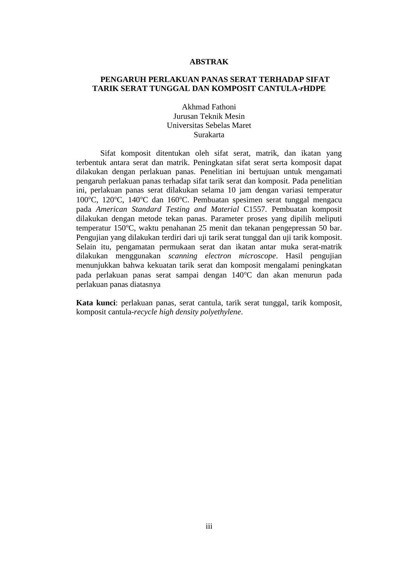### **ABSTRAK**

# **PENGARUH PERLAKUAN PANAS SERAT TERHADAP SIFAT TARIK SERAT TUNGGAL DAN KOMPOSIT CANTULA-***r***HDPE**

Akhmad Fathoni Jurusan Teknik Mesin Universitas Sebelas Maret Surakarta

Sifat komposit ditentukan oleh sifat serat, matrik, dan ikatan yang terbentuk antara serat dan matrik. Peningkatan sifat serat serta komposit dapat dilakukan dengan perlakuan panas. Penelitian ini bertujuan untuk mengamati pengaruh perlakuan panas terhadap sifat tarik serat dan komposit. Pada penelitian ini, perlakuan panas serat dilakukan selama 10 jam dengan variasi temperatur 100°C, 120°C, 140°C dan 160°C. Pembuatan spesimen serat tunggal mengacu pada *American Standard Testing and Material* C1557. Pembuatan komposit dilakukan dengan metode tekan panas. Parameter proses yang dipilih meliputi temperatur 150°C, waktu penahanan 25 menit dan tekanan pengepressan 50 bar. Pengujian yang dilakukan terdiri dari uji tarik serat tunggal dan uji tarik komposit. Selain itu, pengamatan permukaan serat dan ikatan antar muka serat-matrik dilakukan menggunakan *scanning electron microscope*. Hasil pengujian menunjukkan bahwa kekuatan tarik serat dan komposit mengalami peningkatan pada perlakuan panas serat sampai dengan 140°C dan akan menurun pada perlakuan panas diatasnya

**Kata kunci**: perlakuan panas, serat cantula, tarik serat tunggal, tarik komposit, komposit cantula-*recycle high density polyethylene*.